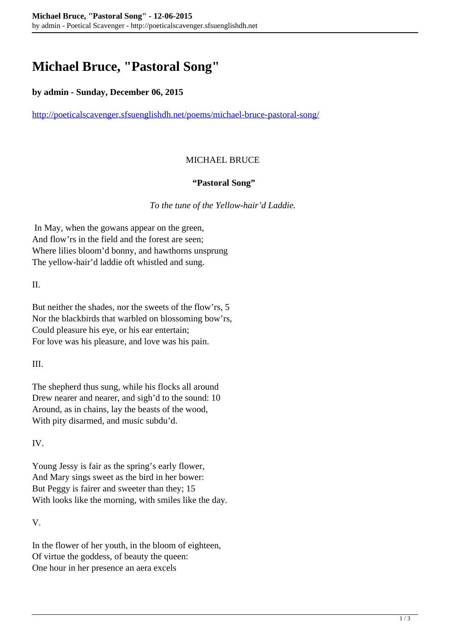# **Michael Bruce, "Pastoral Song"**

#### **by admin - Sunday, December 06, 2015**

<http://poeticalscavenger.sfsuenglishdh.net/poems/michael-bruce-pastoral-song/>

### MICHAEL BRUCE

#### **"Pastoral Song"**

*To the tune of the Yellow-hair'd Laddie.*

In May, when the gowans appear on the green, And flow'rs in the field and the forest are seen; Where lilies bloom'd bonny, and hawthorns unsprung The yellow-hair'd laddie oft whistled and sung.

II.

But neither the shades, nor the sweets of the flow'rs, 5 Nor the blackbirds that warbled on blossoming bow'rs, Could pleasure his eye, or his ear entertain; For love was his pleasure, and love was his pain.

III.

The shepherd thus sung, while his flocks all around Drew nearer and nearer, and sigh'd to the sound: 10 Around, as in chains, lay the beasts of the wood, With pity disarmed, and music subdu'd.

IV.

Young Jessy is fair as the spring's early flower, And Mary sings sweet as the bird in her bower: But Peggy is fairer and sweeter than they; 15 With looks like the morning, with smiles like the day.

V.

In the flower of her youth, in the bloom of eighteen, Of virtue the goddess, of beauty the queen: One hour in her presence an aera excels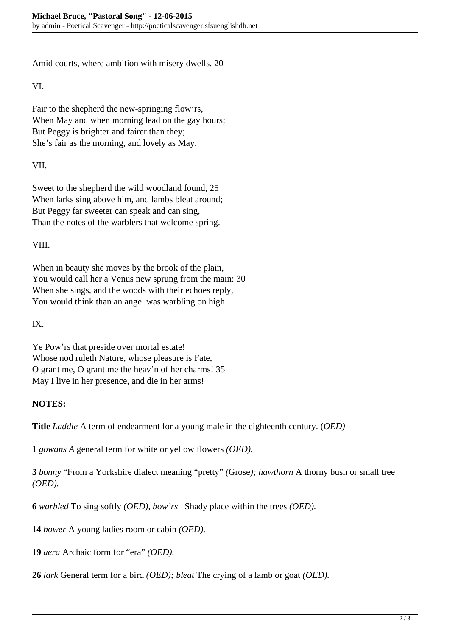Amid courts, where ambition with misery dwells. 20

VI.

Fair to the shepherd the new-springing flow'rs, When May and when morning lead on the gay hours; But Peggy is brighter and fairer than they; She's fair as the morning, and lovely as May.

VII.

Sweet to the shepherd the wild woodland found, 25 When larks sing above him, and lambs bleat around; But Peggy far sweeter can speak and can sing, Than the notes of the warblers that welcome spring.

VIII.

When in beauty she moves by the brook of the plain, You would call her a Venus new sprung from the main: 30 When she sings, and the woods with their echoes reply, You would think than an angel was warbling on high.

IX.

Ye Pow'rs that preside over mortal estate! Whose nod ruleth Nature, whose pleasure is Fate, O grant me, O grant me the heav'n of her charms! 35 May I live in her presence, and die in her arms!

## **NOTES:**

**Title** *Laddie* A term of endearment for a young male in the eighteenth century. (*OED)*

**1** *gowans A* general term for white or yellow flowers *(OED).*

**3** *bonny* "From a Yorkshire dialect meaning "pretty" *(*Grose*); hawthorn* A thorny bush or small tree *(OED).*

**6** *warbled* To sing softly *(OED)*, *bow'rs* Shady place within the trees *(OED).*

**14** *bower* A young ladies room or cabin *(OED).*

**19** *aera* Archaic form for "era" *(OED).*

**26** *lark* General term for a bird *(OED); bleat* The crying of a lamb or goat *(OED).*